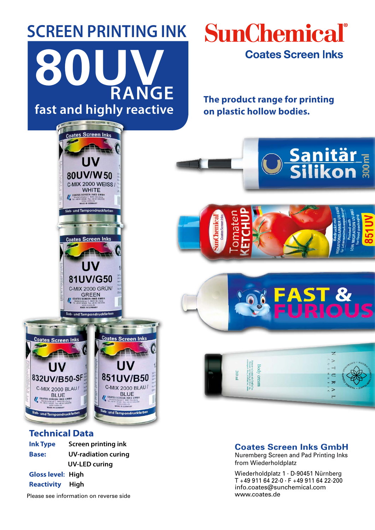# **SCREEN PRINTING INK fast and highly reactive 80UV RANGE**

coates Screen In

80UV/W50 C-MIX 2000 WEISS / WHITE<br>
COATES SCREEN INKS GMBH<br>
THE LIST BASE OF LIST OF A CALL THE LIST OF A CALL THE LIST OF A CALL THE LIST OF A CALL THE LIST OF A CALL THE<br>
MADE IN GENMANY

Sieb- und Tampondruckfarb

**Coates Screen Inks** 

UV

81UV/G50 C-MIX 2000 GRÜN

### **SunChemical Coates Screen Inks**

**The product range for printing on plastic hollow bodies.**

<u>Sanitär <sub>E</sub><br>Silikon å</u>

T &

 $\subset$ 

 $\overline{\mathbf{x}}$ 

 $\triangleright$ 



### **Technical Data**

**Ink Type Screen printing ink Base: UV-radiation curing UV-LED curing Gloss level: High Reactivity High**

Please see information on reverse side www.coates.de

### **Coates Screen Inks GmbH**

Body cream lco ligula, porti<br>vitac, elettend :

 $200$  ml

Nuremberg Screen and Pad Printing Inks from Wiederholdplatz

Wiederholdplatz 1 . D-90451 Nürnberg T +49 911 64 22-0 . F +49 911 64 22-200 info.coates@sunchemical.com